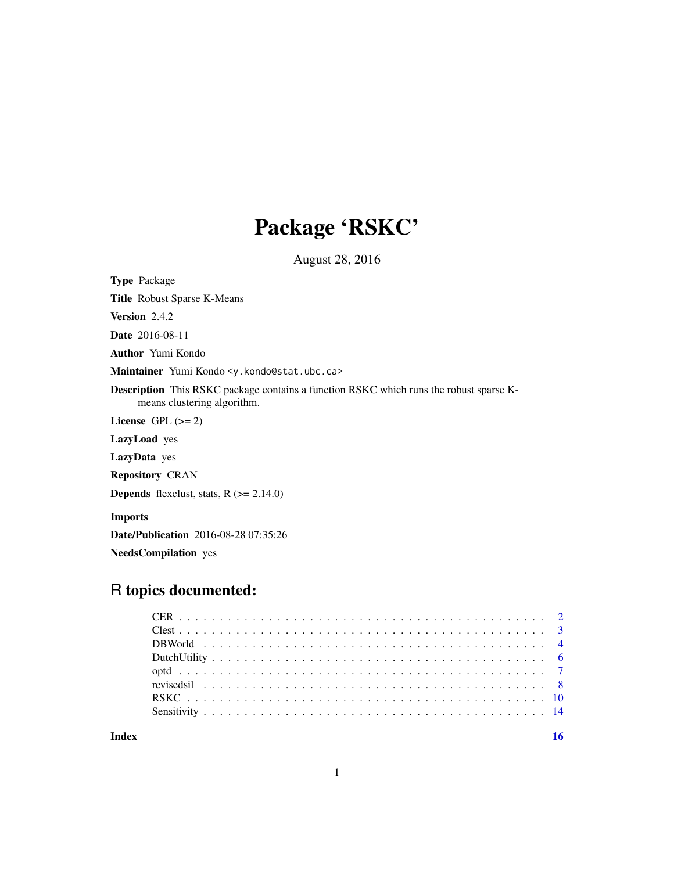## Package 'RSKC'

August 28, 2016

<span id="page-0-0"></span>Type Package

Title Robust Sparse K-Means

Version 2.4.2

Date 2016-08-11

Author Yumi Kondo

Maintainer Yumi Kondo <y.kondo@stat.ubc.ca>

Description This RSKC package contains a function RSKC which runs the robust sparse Kmeans clustering algorithm.

License GPL  $(>= 2)$ 

LazyLoad yes

LazyData yes

Repository CRAN

**Depends** flexclust, stats,  $R$  ( $>= 2.14.0$ )

Imports

Date/Publication 2016-08-28 07:35:26

NeedsCompilation yes

## R topics documented:

**Index** the contract of the contract of the contract of the contract of the contract of the contract of the contract of the contract of the contract of the contract of the contract of the contract of the contract of the co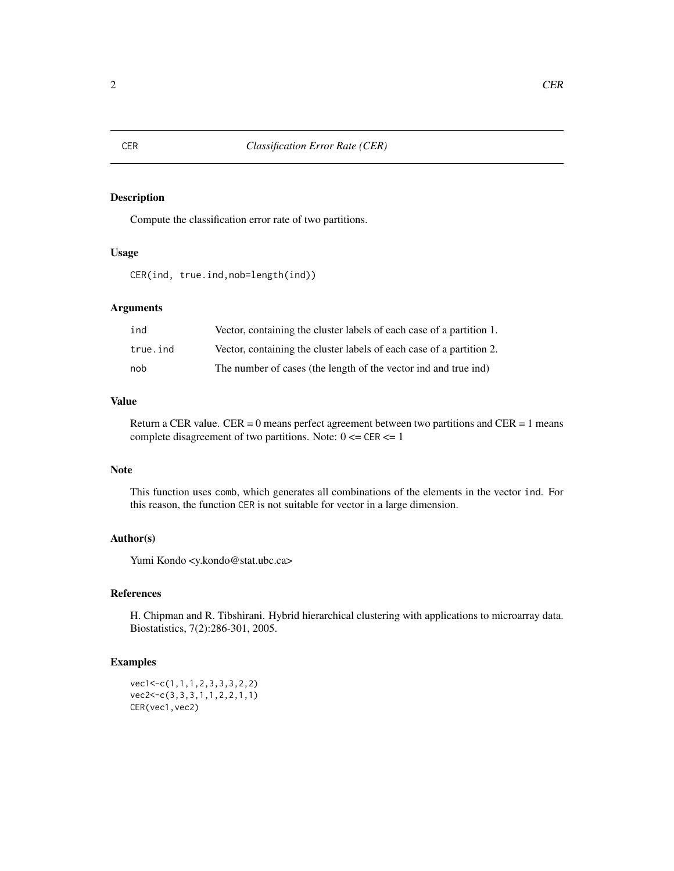## Description

Compute the classification error rate of two partitions.

## Usage

```
CER(ind, true.ind,nob=length(ind))
```
## Arguments

| ind      | Vector, containing the cluster labels of each case of a partition 1. |
|----------|----------------------------------------------------------------------|
| true.ind | Vector, containing the cluster labels of each case of a partition 2. |
| nob      | The number of cases (the length of the vector ind and true ind)      |

## Value

Return a CER value. CER = 0 means perfect agreement between two partitions and CER = 1 means complete disagreement of two partitions. Note:  $0 \leq C \leq R \leq 1$ 

#### Note

This function uses comb, which generates all combinations of the elements in the vector ind. For this reason, the function CER is not suitable for vector in a large dimension.

## Author(s)

Yumi Kondo <y.kondo@stat.ubc.ca>

## References

H. Chipman and R. Tibshirani. Hybrid hierarchical clustering with applications to microarray data. Biostatistics, 7(2):286-301, 2005.

## Examples

vec1<-c(1,1,1,2,3,3,3,2,2) vec2<-c(3,3,3,1,1,2,2,1,1) CER(vec1,vec2)

<span id="page-1-0"></span>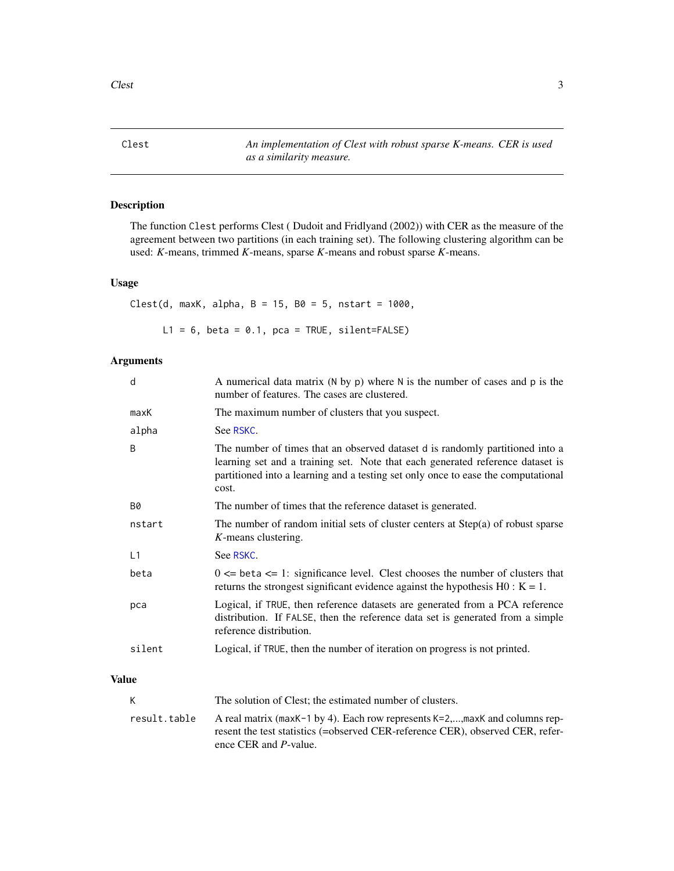<span id="page-2-0"></span>Clest *An implementation of Clest with robust sparse K-means. CER is used as a similarity measure.*

## Description

The function Clest performs Clest ( Dudoit and Fridlyand (2002)) with CER as the measure of the agreement between two partitions (in each training set). The following clustering algorithm can be used: *K*-means, trimmed *K*-means, sparse *K*-means and robust sparse *K*-means.

#### Usage

Clest(d, maxK, alpha,  $B = 15$ ,  $B0 = 5$ , nstart = 1000,

 $L1 = 6$ , beta = 0.1, pca = TRUE, silent=FALSE)

#### Arguments

| d         | A numerical data matrix ( $N$ by $p$ ) where $N$ is the number of cases and $p$ is the<br>number of features. The cases are clustered.                                                                                                                        |
|-----------|---------------------------------------------------------------------------------------------------------------------------------------------------------------------------------------------------------------------------------------------------------------|
| maxK      | The maximum number of clusters that you suspect.                                                                                                                                                                                                              |
| alpha     | See RSKC.                                                                                                                                                                                                                                                     |
| B         | The number of times that an observed dataset d is randomly partitioned into a<br>learning set and a training set. Note that each generated reference dataset is<br>partitioned into a learning and a testing set only once to ease the computational<br>cost. |
| <b>B0</b> | The number of times that the reference dataset is generated.                                                                                                                                                                                                  |
| nstart    | The number of random initial sets of cluster centers at Step(a) of robust sparse<br>K-means clustering.                                                                                                                                                       |
| L1        | See RSKC.                                                                                                                                                                                                                                                     |
| beta      | $0 \leq$ beta $\leq$ 1: significance level. Clest chooses the number of clusters that<br>returns the strongest significant evidence against the hypothesis $H0: K = 1$ .                                                                                      |
| pca       | Logical, if TRUE, then reference datasets are generated from a PCA reference<br>distribution. If FALSE, then the reference data set is generated from a simple<br>reference distribution.                                                                     |
| silent    | Logical, if TRUE, then the number of iteration on progress is not printed.                                                                                                                                                                                    |
| Value     |                                                                                                                                                                                                                                                               |

## K The solution of Clest; the estimated number of clusters. result.table A real matrix (maxK-1 by 4). Each row represents K=2,...,maxK and columns represent the test statistics (=observed CER-reference CER), observed CER, reference CER and *P*-value.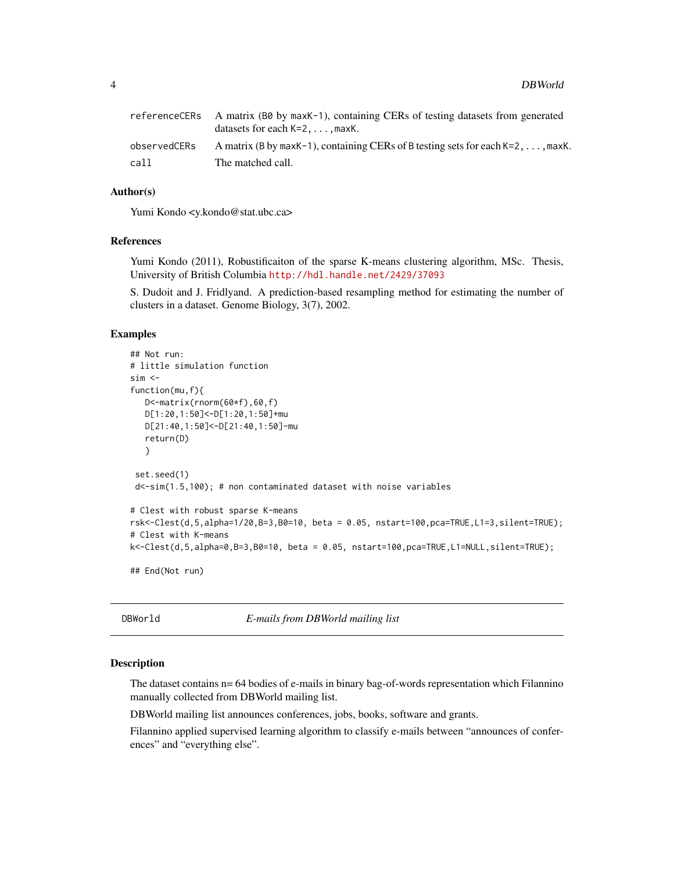<span id="page-3-0"></span>

|              | referenceCERs A matrix (B0 by maxK-1), containing CERs of testing datasets from generated<br>datasets for each $K=2,\ldots$ , maxK. |
|--------------|-------------------------------------------------------------------------------------------------------------------------------------|
| observedCERs | A matrix (B by maxK-1), containing CERs of B testing sets for each K=2, $\dots$ , maxK.                                             |
| call         | The matched call.                                                                                                                   |

#### Author(s)

Yumi Kondo <y.kondo@stat.ubc.ca>

## References

Yumi Kondo (2011), Robustificaiton of the sparse K-means clustering algorithm, MSc. Thesis, University of British Columbia <http://hdl.handle.net/2429/37093>

S. Dudoit and J. Fridlyand. A prediction-based resampling method for estimating the number of clusters in a dataset. Genome Biology, 3(7), 2002.

#### Examples

```
## Not run:
# little simulation function
sim <function(mu,f){
   D<-matrix(rnorm(60*f),60,f)
   D[1:20,1:50]<-D[1:20,1:50]+mu
   D[21:40,1:50]<-D[21:40,1:50]-mu
   return(D)
   }
 set.seed(1)
 d<-sim(1.5,100); # non contaminated dataset with noise variables
# Clest with robust sparse K-means
rsk<-Clest(d,5,alpha=1/20,B=3,B0=10, beta = 0.05, nstart=100,pca=TRUE,L1=3,silent=TRUE);
# Clest with K-means
k<-Clest(d,5,alpha=0,B=3,B0=10, beta = 0.05, nstart=100,pca=TRUE,L1=NULL,silent=TRUE);
## End(Not run)
```
DBWorld *E-mails from DBWorld mailing list*

#### Description

The dataset contains n= 64 bodies of e-mails in binary bag-of-words representation which Filannino manually collected from DBWorld mailing list.

DBWorld mailing list announces conferences, jobs, books, software and grants.

Filannino applied supervised learning algorithm to classify e-mails between "announces of conferences" and "everything else".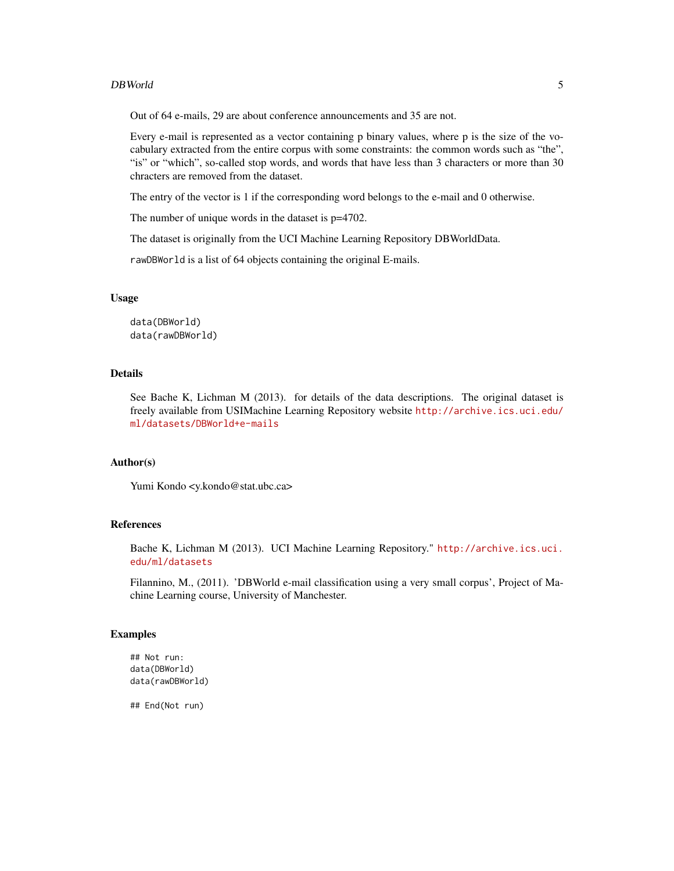#### DBWorld 5

Out of 64 e-mails, 29 are about conference announcements and 35 are not.

Every e-mail is represented as a vector containing p binary values, where p is the size of the vocabulary extracted from the entire corpus with some constraints: the common words such as "the", "is" or "which", so-called stop words, and words that have less than 3 characters or more than 30 chracters are removed from the dataset.

The entry of the vector is 1 if the corresponding word belongs to the e-mail and 0 otherwise.

The number of unique words in the dataset is  $p=4702$ .

The dataset is originally from the UCI Machine Learning Repository DBWorldData.

rawDBWorld is a list of 64 objects containing the original E-mails.

#### Usage

data(DBWorld) data(rawDBWorld)

#### Details

See Bache K, Lichman M (2013). for details of the data descriptions. The original dataset is freely available from USIMachine Learning Repository website [http://archive.ics.uci.edu/](http://archive.ics.uci.edu/ml/datasets/DBWorld+e-mails) [ml/datasets/DBWorld+e-mails](http://archive.ics.uci.edu/ml/datasets/DBWorld+e-mails)

## Author(s)

Yumi Kondo <y.kondo@stat.ubc.ca>

#### References

Bache K, Lichman M (2013). UCI Machine Learning Repository." [http://archive.ics.uci.](http://archive.ics.uci.edu/ml/datasets) [edu/ml/datasets](http://archive.ics.uci.edu/ml/datasets)

Filannino, M., (2011). 'DBWorld e-mail classification using a very small corpus', Project of Machine Learning course, University of Manchester.

#### Examples

```
## Not run:
data(DBWorld)
data(rawDBWorld)
```
## End(Not run)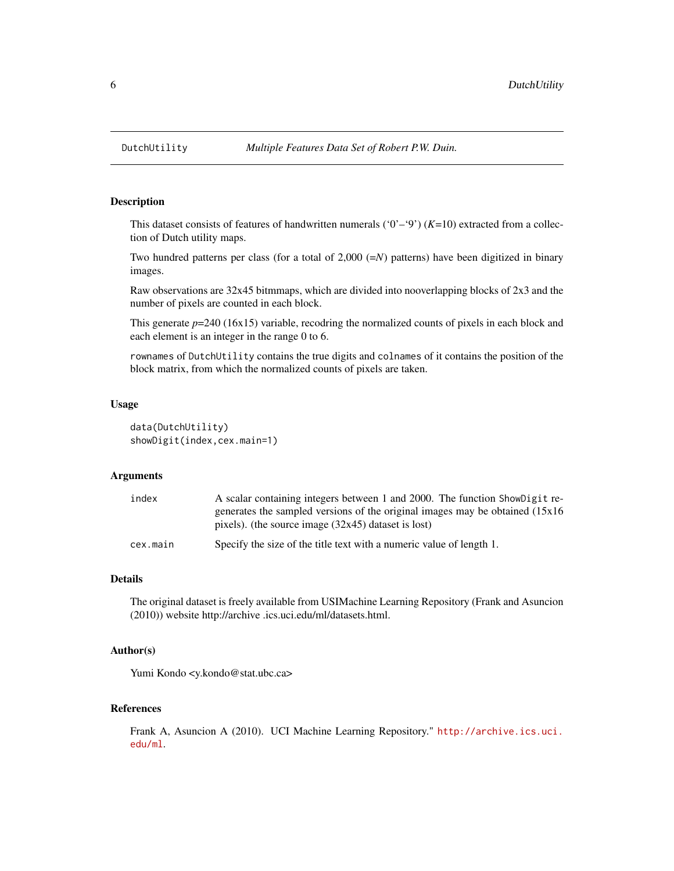#### **Description**

This dataset consists of features of handwritten numerals  $(0^{\prime}-9^{\prime}) (K=10)$  extracted from a collection of Dutch utility maps.

Two hundred patterns per class (for a total of  $2,000$  ( $=N$ ) patterns) have been digitized in binary images.

Raw observations are 32x45 bitmmaps, which are divided into nooverlapping blocks of 2x3 and the number of pixels are counted in each block.

This generate  $p=240$  (16x15) variable, recodring the normalized counts of pixels in each block and each element is an integer in the range 0 to 6.

rownames of DutchUtility contains the true digits and colnames of it contains the position of the block matrix, from which the normalized counts of pixels are taken.

#### Usage

```
data(DutchUtility)
showDigit(index,cex.main=1)
```
#### Arguments

| index    | A scalar containing integers between 1 and 2000. The function ShowDigit re-<br>generates the sampled versions of the original images may be obtained $(15x16)$ |
|----------|----------------------------------------------------------------------------------------------------------------------------------------------------------------|
|          | pixels). (the source image $(32x45)$ dataset is lost)                                                                                                          |
| cex.main | Specify the size of the title text with a numeric value of length 1.                                                                                           |

#### Details

The original dataset is freely available from USIMachine Learning Repository (Frank and Asuncion (2010)) website http://archive .ics.uci.edu/ml/datasets.html.

#### Author(s)

Yumi Kondo <y.kondo@stat.ubc.ca>

#### References

Frank A, Asuncion A (2010). UCI Machine Learning Repository." [http://archive.ics.uci.](http://archive.ics.uci.edu/ml) [edu/ml](http://archive.ics.uci.edu/ml).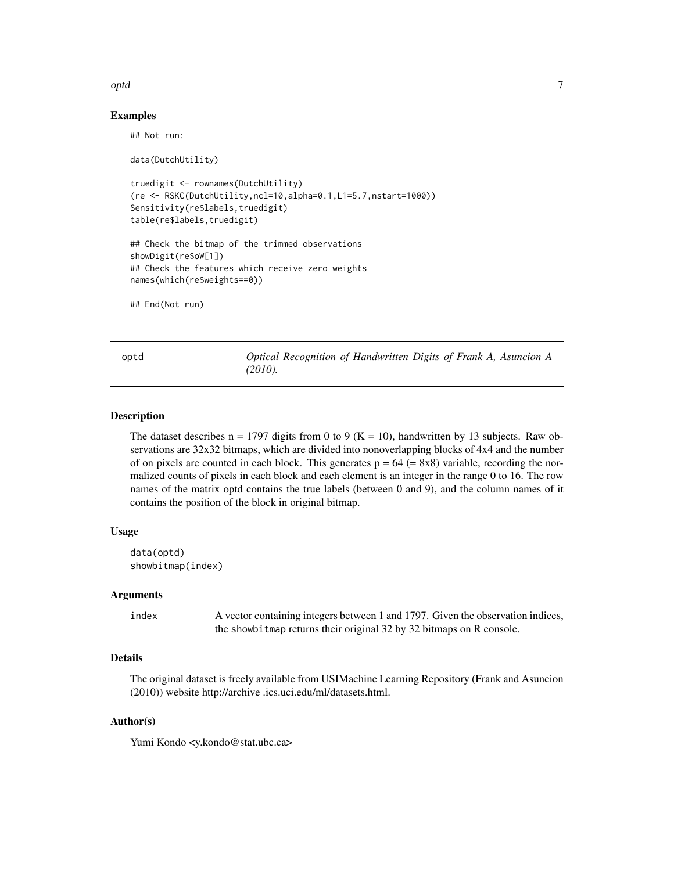#### <span id="page-6-0"></span>optd 7

#### Examples

```
## Not run:
data(DutchUtility)
truedigit <- rownames(DutchUtility)
(re <- RSKC(DutchUtility,ncl=10,alpha=0.1,L1=5.7,nstart=1000))
Sensitivity(re$labels,truedigit)
table(re$labels,truedigit)
## Check the bitmap of the trimmed observations
showDigit(re$oW[1])
## Check the features which receive zero weights
names(which(re$weights==0))
## End(Not run)
```
optd *Optical Recognition of Handwritten Digits of Frank A, Asuncion A (2010).*

#### Description

The dataset describes  $n = 1797$  digits from 0 to 9 (K = 10), handwritten by 13 subjects. Raw observations are 32x32 bitmaps, which are divided into nonoverlapping blocks of 4x4 and the number of on pixels are counted in each block. This generates  $p = 64 (= 8x8)$  variable, recording the normalized counts of pixels in each block and each element is an integer in the range 0 to 16. The row names of the matrix optd contains the true labels (between 0 and 9), and the column names of it contains the position of the block in original bitmap.

#### Usage

```
data(optd)
showbitmap(index)
```
#### Arguments

index A vector containing integers between 1 and 1797. Given the observation indices, the showbitmap returns their original 32 by 32 bitmaps on R console.

#### Details

The original dataset is freely available from USIMachine Learning Repository (Frank and Asuncion (2010)) website http://archive .ics.uci.edu/ml/datasets.html.

#### Author(s)

Yumi Kondo <y.kondo@stat.ubc.ca>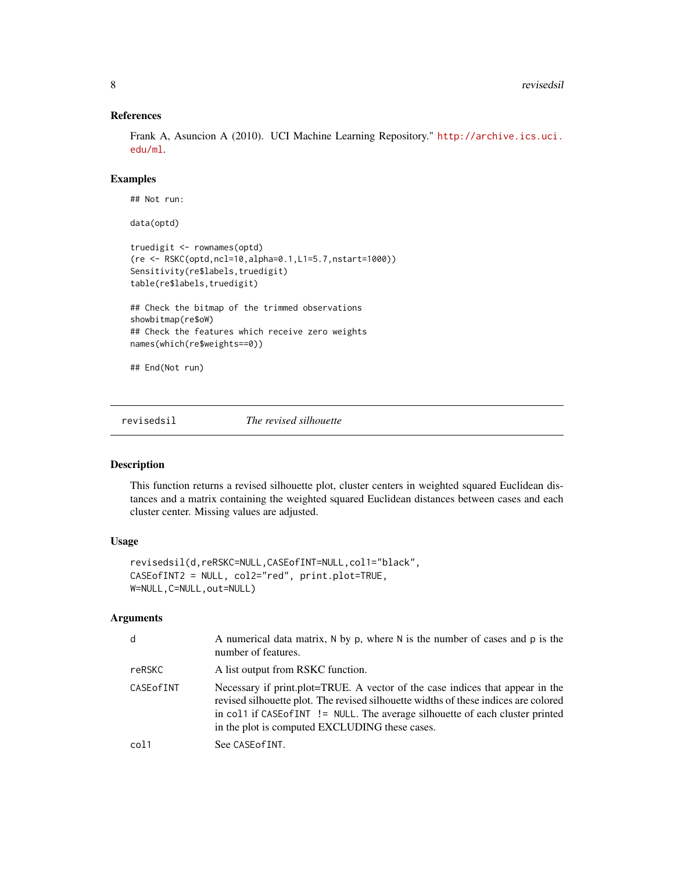## References

Frank A, Asuncion A (2010). UCI Machine Learning Repository." [http://archive.ics.uci.](http://archive.ics.uci.edu/ml) [edu/ml](http://archive.ics.uci.edu/ml).

#### Examples

```
## Not run:
data(optd)
truedigit <- rownames(optd)
(re <- RSKC(optd,ncl=10,alpha=0.1,L1=5.7,nstart=1000))
Sensitivity(re$labels,truedigit)
table(re$labels,truedigit)
## Check the bitmap of the trimmed observations
showbitmap(re$oW)
## Check the features which receive zero weights
names(which(re$weights==0))
## End(Not run)
```
revisedsil *The revised silhouette*

## Description

This function returns a revised silhouette plot, cluster centers in weighted squared Euclidean distances and a matrix containing the weighted squared Euclidean distances between cases and each cluster center. Missing values are adjusted.

#### Usage

```
revisedsil(d,reRSKC=NULL,CASEofINT=NULL,col1="black",
CASEofINT2 = NULL, col2="red", print.plot=TRUE,
W=NULL,C=NULL,out=NULL)
```
#### Arguments

| d           | A numerical data matrix, $N$ by p, where $N$ is the number of cases and p is the<br>number of features.                                                                                                                                                                                                  |
|-------------|----------------------------------------------------------------------------------------------------------------------------------------------------------------------------------------------------------------------------------------------------------------------------------------------------------|
| reRSKC      | A list output from RSKC function.                                                                                                                                                                                                                                                                        |
| CASE of INT | Necessary if print.plot=TRUE. A vector of the case indices that appear in the<br>revised silhouette plot. The revised silhouette widths of these indices are colored<br>in col1 if CASE of INT != NULL. The average silhouette of each cluster printed<br>in the plot is computed EXCLUDING these cases. |
| col1        | See CASE of INT.                                                                                                                                                                                                                                                                                         |

<span id="page-7-0"></span>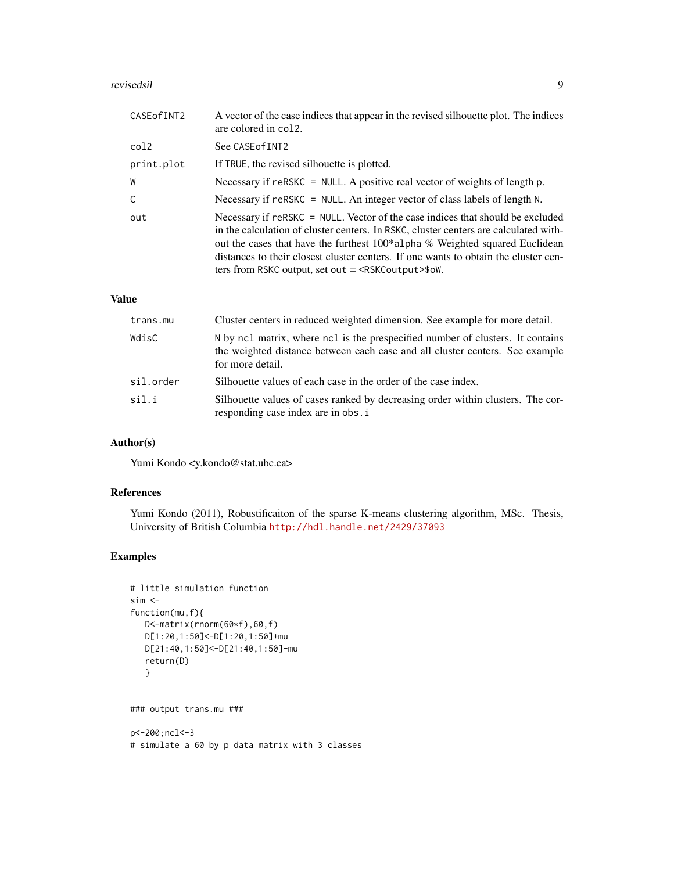#### revisedsil 9

| CASE of INT2 | A vector of the case indices that appear in the revised silhouette plot. The indices<br>are colored in col2.                                                                                                                                                                                                                                                                                                     |
|--------------|------------------------------------------------------------------------------------------------------------------------------------------------------------------------------------------------------------------------------------------------------------------------------------------------------------------------------------------------------------------------------------------------------------------|
| col2         | See CASE of INT2                                                                                                                                                                                                                                                                                                                                                                                                 |
| print.plot   | If TRUE, the revised silhouette is plotted.                                                                                                                                                                                                                                                                                                                                                                      |
| W            | Necessary if $r$ eRSKC = NULL. A positive real vector of weights of length p.                                                                                                                                                                                                                                                                                                                                    |
| C            | Necessary if reRSKC = NULL. An integer vector of class labels of length N.                                                                                                                                                                                                                                                                                                                                       |
| out          | Necessary if reRSKC = NULL. Vector of the case indices that should be excluded<br>in the calculation of cluster centers. In RSKC, cluster centers are calculated with-<br>out the cases that have the furthest 100*alpha % Weighted squared Euclidean<br>distances to their closest cluster centers. If one wants to obtain the cluster cen-<br>ters from RSKC output, set out $=$ <rskc output=""> \$0W.</rskc> |

#### Value

| trans.mu  | Cluster centers in reduced weighted dimension. See example for more detail.                                                                                                        |
|-----------|------------------------------------------------------------------------------------------------------------------------------------------------------------------------------------|
| WdisC     | N by ncl matrix, where ncl is the prespecified number of clusters. It contains<br>the weighted distance between each case and all cluster centers. See example<br>for more detail. |
| sil.order | Silhouette values of each case in the order of the case index.                                                                                                                     |
| sil.i     | Silhouette values of cases ranked by decreasing order within clusters. The cor-<br>responding case index are in obs. i                                                             |

## Author(s)

Yumi Kondo <y.kondo@stat.ubc.ca>

#### References

Yumi Kondo (2011), Robustificaiton of the sparse K-means clustering algorithm, MSc. Thesis, University of British Columbia <http://hdl.handle.net/2429/37093>

## Examples

```
# little simulation function
sim <function(mu,f){
  D<-matrix(rnorm(60*f),60,f)
  D[1:20,1:50]<-D[1:20,1:50]+mu
  D[21:40,1:50]<-D[21:40,1:50]-mu
  return(D)
  }
```
### output trans.mu ###

p<-200;ncl<-3 # simulate a 60 by p data matrix with 3 classes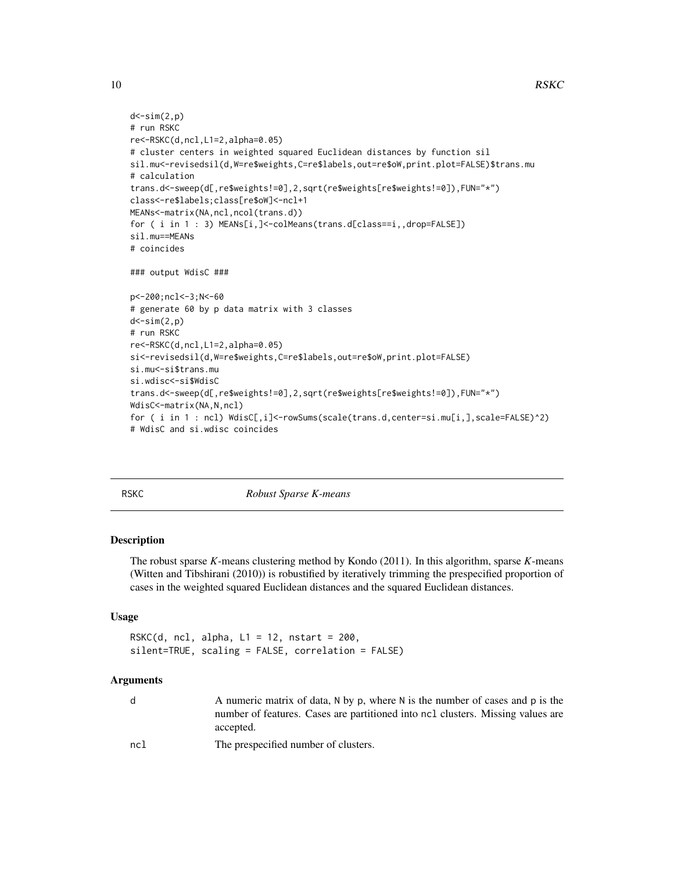```
d < -sim(2,p)# run RSKC
re<-RSKC(d,ncl,L1=2,alpha=0.05)
# cluster centers in weighted squared Euclidean distances by function sil
sil.mu<-revisedsil(d,W=re$weights,C=re$labels,out=re$oW,print.plot=FALSE)$trans.mu
# calculation
trans.d<-sweep(d[,re$weights!=0],2,sqrt(re$weights[re$weights!=0]),FUN="*")
class<-re$labels;class[re$oW]<-ncl+1
MEANs<-matrix(NA,ncl,ncol(trans.d))
for ( i in 1 : 3) MEANs[i,]<-colMeans(trans.d[class==i,,drop=FALSE])
sil.mu==MEANs
# coincides
### output WdisC ###
p<-200;ncl<-3;N<-60
# generate 60 by p data matrix with 3 classes
d < -sim(2,p)# run RSKC
re<-RSKC(d,ncl,L1=2,alpha=0.05)
si<-revisedsil(d,W=re$weights,C=re$labels,out=re$oW,print.plot=FALSE)
si.mu<-si$trans.mu
si.wdisc<-si$WdisC
trans.d<-sweep(d[,re$weights!=0],2,sqrt(re$weights[re$weights!=0]),FUN="*")
WdisC<-matrix(NA,N,ncl)
for ( i in 1 : ncl) WdisC[,i]<-rowSums(scale(trans.d,center=si.mu[i,],scale=FALSE)^2)
# WdisC and si.wdisc coincides
```
<span id="page-9-1"></span>

RSKC *Robust Sparse K-means*

#### Description

The robust sparse *K*-means clustering method by Kondo (2011). In this algorithm, sparse *K*-means (Witten and Tibshirani (2010)) is robustified by iteratively trimming the prespecified proportion of cases in the weighted squared Euclidean distances and the squared Euclidean distances.

#### Usage

```
RSKC(d, ncl, alpha, L1 = 12, nstart = 200,silent=TRUE, scaling = FALSE, correlation = FALSE)
```
#### Arguments

|     | A numeric matrix of data, N by p, where N is the number of cases and p is the<br>number of features. Cases are partitioned into ncl clusters. Missing values are<br>accepted. |
|-----|-------------------------------------------------------------------------------------------------------------------------------------------------------------------------------|
| ncl | The prespecified number of clusters.                                                                                                                                          |

<span id="page-9-0"></span>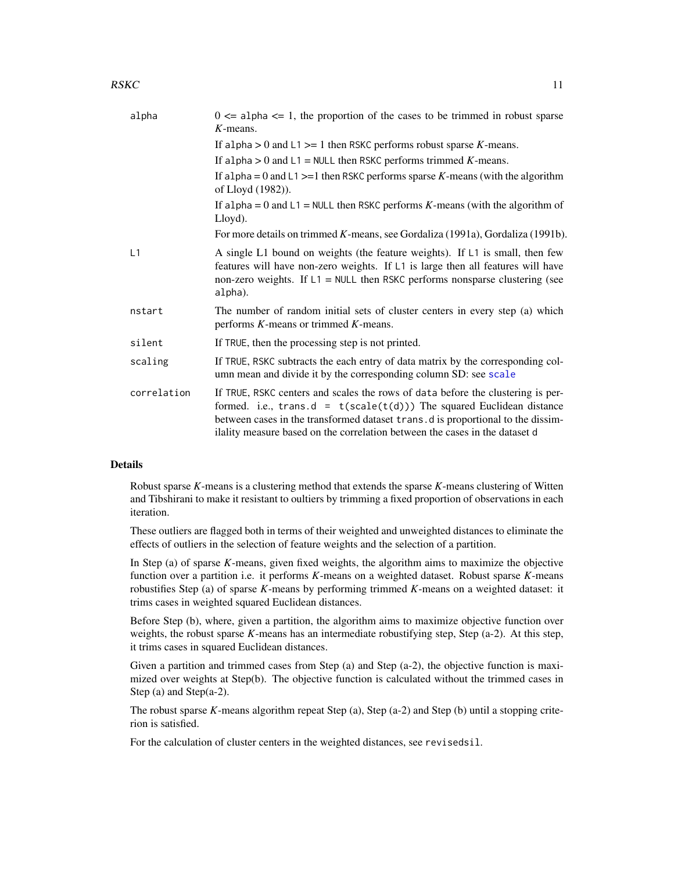#### <span id="page-10-0"></span> $RSKC$  11

| alpha       | $0 \le a$ alpha $\le 1$ , the proportion of the cases to be trimmed in robust sparse<br>$K$ -means.                                                                                                                                                                                                                           |
|-------------|-------------------------------------------------------------------------------------------------------------------------------------------------------------------------------------------------------------------------------------------------------------------------------------------------------------------------------|
|             | If alpha $> 0$ and $L1 \ge 1$ then RSKC performs robust sparse K-means.                                                                                                                                                                                                                                                       |
|             | If alpha $> 0$ and $L1 = \text{NULL}$ then RSKC performs trimmed K-means.                                                                                                                                                                                                                                                     |
|             | If a lpha = $0$ and $L1$ >=1 then RSKC performs sparse K-means (with the algorithm<br>of Lloyd (1982)).                                                                                                                                                                                                                       |
|             | If alpha = 0 and $L1$ = NULL then RSKC performs K-means (with the algorithm of<br>Lloyd).                                                                                                                                                                                                                                     |
|             | For more details on trimmed K-means, see Gordaliza (1991a), Gordaliza (1991b).                                                                                                                                                                                                                                                |
| L1          | A single L1 bound on weights (the feature weights). If L1 is small, then few<br>features will have non-zero weights. If L1 is large then all features will have<br>non-zero weights. If $L1 = \text{NULL}$ then RSKC performs nonsparse clustering (see<br>alpha).                                                            |
| nstart      | The number of random initial sets of cluster centers in every step (a) which<br>performs $K$ -means or trimmed $K$ -means.                                                                                                                                                                                                    |
| silent      | If TRUE, then the processing step is not printed.                                                                                                                                                                                                                                                                             |
| scaling     | If TRUE, RSKC subtracts the each entry of data matrix by the corresponding col-<br>umn mean and divide it by the corresponding column SD: see scale                                                                                                                                                                           |
| correlation | If TRUE, RSKC centers and scales the rows of data before the clustering is per-<br>formed. i.e., trans.d = $t(scale(t(d)))$ The squared Euclidean distance<br>between cases in the transformed dataset trans. d is proportional to the dissim-<br>ilality measure based on the correlation between the cases in the dataset d |
|             |                                                                                                                                                                                                                                                                                                                               |

#### Details

Robust sparse *K*-means is a clustering method that extends the sparse *K*-means clustering of Witten and Tibshirani to make it resistant to oultiers by trimming a fixed proportion of observations in each iteration.

These outliers are flagged both in terms of their weighted and unweighted distances to eliminate the effects of outliers in the selection of feature weights and the selection of a partition.

In Step (a) of sparse *K*-means, given fixed weights, the algorithm aims to maximize the objective function over a partition i.e. it performs *K*-means on a weighted dataset. Robust sparse *K*-means robustifies Step (a) of sparse *K*-means by performing trimmed *K*-means on a weighted dataset: it trims cases in weighted squared Euclidean distances.

Before Step (b), where, given a partition, the algorithm aims to maximize objective function over weights, the robust sparse *K*-means has an intermediate robustifying step, Step (a-2). At this step, it trims cases in squared Euclidean distances.

Given a partition and trimmed cases from Step (a) and Step (a-2), the objective function is maximized over weights at Step(b). The objective function is calculated without the trimmed cases in Step (a) and Step(a-2).

The robust sparse *K*-means algorithm repeat Step (a), Step (a-2) and Step (b) until a stopping criterion is satisfied.

For the calculation of cluster centers in the weighted distances, see revisedsil.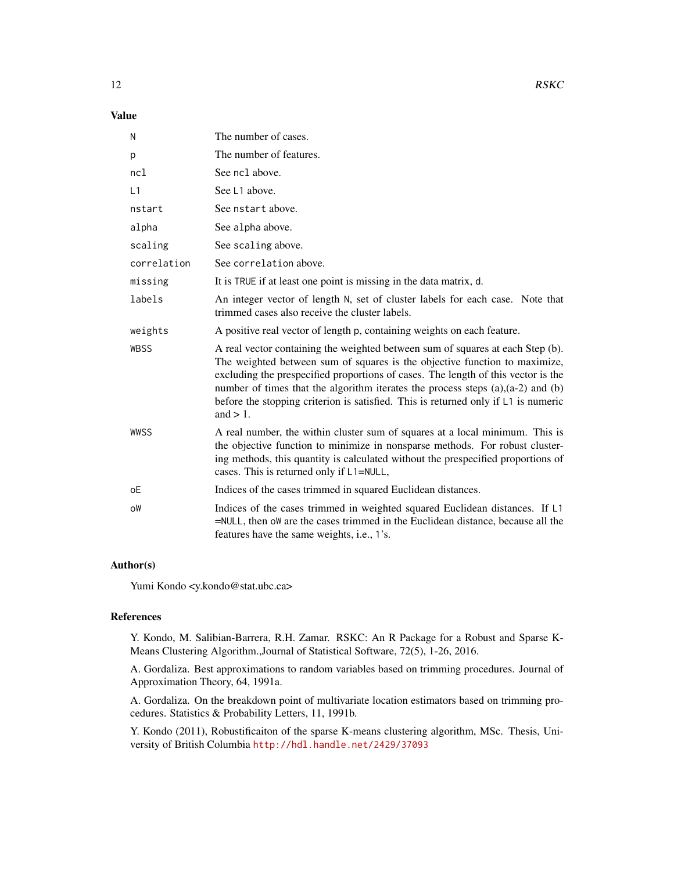#### Value

| N           | The number of cases.                                                                                                                                                                                                                                                                                                                                                                                                                              |
|-------------|---------------------------------------------------------------------------------------------------------------------------------------------------------------------------------------------------------------------------------------------------------------------------------------------------------------------------------------------------------------------------------------------------------------------------------------------------|
| p           | The number of features.                                                                                                                                                                                                                                                                                                                                                                                                                           |
| ncl         | See ncl above.                                                                                                                                                                                                                                                                                                                                                                                                                                    |
| L1          | See L1 above.                                                                                                                                                                                                                                                                                                                                                                                                                                     |
| nstart      | See nstart above.                                                                                                                                                                                                                                                                                                                                                                                                                                 |
| alpha       | See alpha above.                                                                                                                                                                                                                                                                                                                                                                                                                                  |
| scaling     | See scaling above.                                                                                                                                                                                                                                                                                                                                                                                                                                |
| correlation | See correlation above.                                                                                                                                                                                                                                                                                                                                                                                                                            |
| missing     | It is TRUE if at least one point is missing in the data matrix, d.                                                                                                                                                                                                                                                                                                                                                                                |
| labels      | An integer vector of length N, set of cluster labels for each case. Note that<br>trimmed cases also receive the cluster labels.                                                                                                                                                                                                                                                                                                                   |
| weights     | A positive real vector of length p, containing weights on each feature.                                                                                                                                                                                                                                                                                                                                                                           |
| <b>WBSS</b> | A real vector containing the weighted between sum of squares at each Step (b).<br>The weighted between sum of squares is the objective function to maximize,<br>excluding the prespecified proportions of cases. The length of this vector is the<br>number of times that the algorithm iterates the process steps $(a)$ , $(a-2)$ and $(b)$<br>before the stopping criterion is satisfied. This is returned only if L1 is numeric<br>and $> 1$ . |
| WWSS        | A real number, the within cluster sum of squares at a local minimum. This is<br>the objective function to minimize in nonsparse methods. For robust cluster-<br>ing methods, this quantity is calculated without the prespecified proportions of<br>cases. This is returned only if L1=NULL,                                                                                                                                                      |
| оE          | Indices of the cases trimmed in squared Euclidean distances.                                                                                                                                                                                                                                                                                                                                                                                      |
| oW          | Indices of the cases trimmed in weighted squared Euclidean distances. If L1<br>=NULL, then ow are the cases trimmed in the Euclidean distance, because all the<br>features have the same weights, i.e., 1's.                                                                                                                                                                                                                                      |

#### Author(s)

Yumi Kondo <y.kondo@stat.ubc.ca>

#### References

Y. Kondo, M. Salibian-Barrera, R.H. Zamar. RSKC: An R Package for a Robust and Sparse K-Means Clustering Algorithm.,Journal of Statistical Software, 72(5), 1-26, 2016.

A. Gordaliza. Best approximations to random variables based on trimming procedures. Journal of Approximation Theory, 64, 1991a.

A. Gordaliza. On the breakdown point of multivariate location estimators based on trimming procedures. Statistics & Probability Letters, 11, 1991b.

Y. Kondo (2011), Robustificaiton of the sparse K-means clustering algorithm, MSc. Thesis, University of British Columbia <http://hdl.handle.net/2429/37093>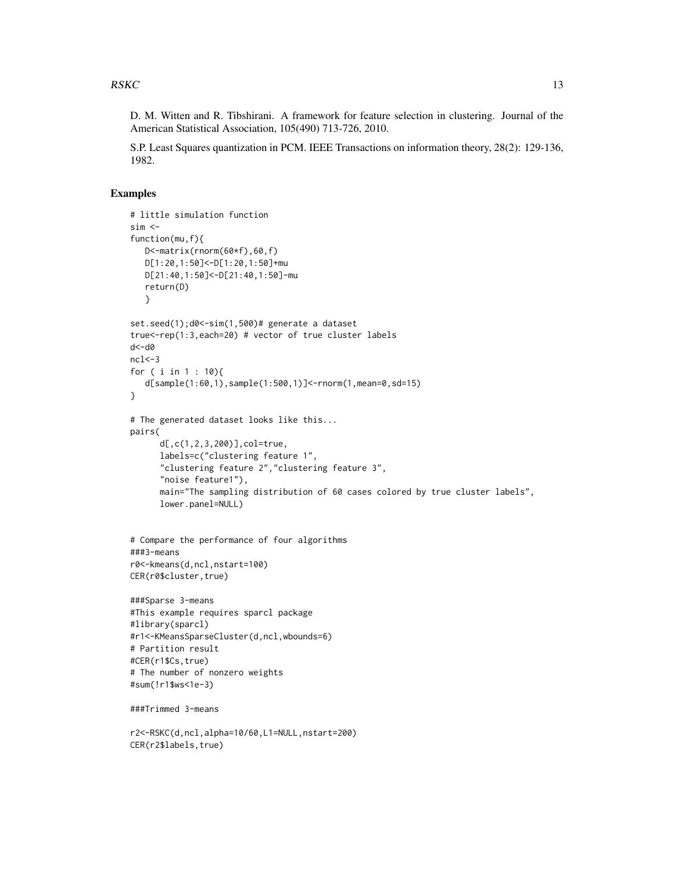D. M. Witten and R. Tibshirani. A framework for feature selection in clustering. Journal of the American Statistical Association, 105(490) 713-726, 2010.

S.P. Least Squares quantization in PCM. IEEE Transactions on information theory, 28(2): 129-136, 1982.

#### Examples

```
# little simulation function
sim <function(mu,f){
  D<-matrix(rnorm(60*f),60,f)
  D[1:20,1:50]<-D[1:20,1:50]+mu
  D[21:40,1:50]<-D[21:40,1:50]-mu
  return(D)
  }
set.seed(1);d0<-sim(1,500)# generate a dataset
true<-rep(1:3,each=20) # vector of true cluster labels
d<-d0
ncl < -3for ( i in 1 : 10){
  d[sample(1:60,1),sample(1:500,1)]<-rnorm(1,mean=0,sd=15)
}
# The generated dataset looks like this...
pairs(
     d[,c(1,2,3,200)],col=true,
     labels=c("clustering feature 1",
      "clustering feature 2","clustering feature 3",
      "noise feature1"),
     main="The sampling distribution of 60 cases colored by true cluster labels",
     lower.panel=NULL)
# Compare the performance of four algorithms
###3-means
r0<-kmeans(d,ncl,nstart=100)
CER(r0$cluster,true)
###Sparse 3-means
#This example requires sparcl package
#library(sparcl)
#r1<-KMeansSparseCluster(d,ncl,wbounds=6)
# Partition result
#CER(r1$Cs,true)
# The number of nonzero weights
#sum(!r1$ws<1e-3)
###Trimmed 3-means
r2<-RSKC(d,ncl,alpha=10/60,L1=NULL,nstart=200)
CER(r2$labels,true)
```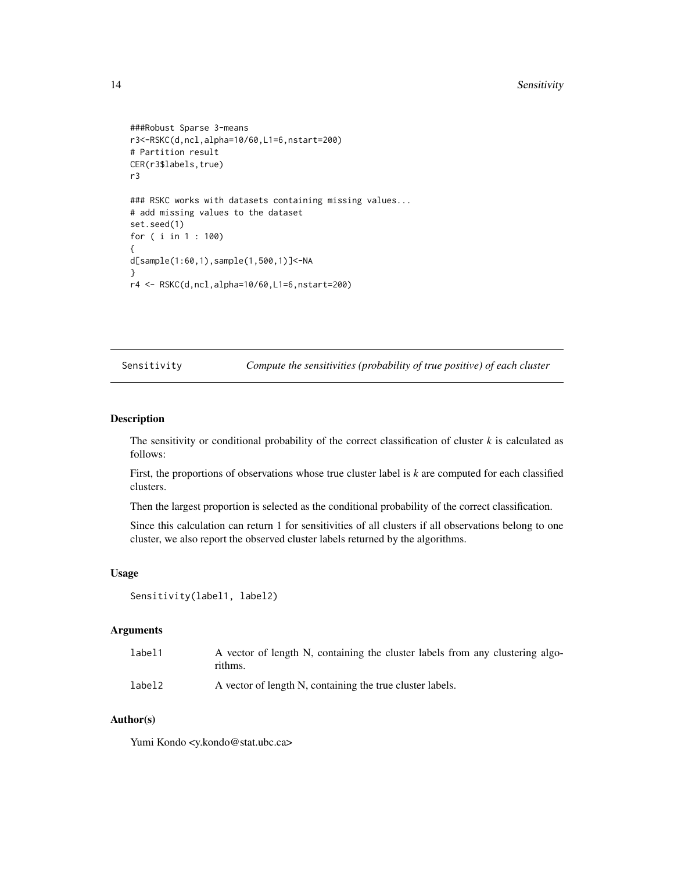```
###Robust Sparse 3-means
r3<-RSKC(d,ncl,alpha=10/60,L1=6,nstart=200)
# Partition result
CER(r3$labels,true)
r3
### RSKC works with datasets containing missing values...
# add missing values to the dataset
set.seed(1)
for ( i in 1 : 100)
{
d[sample(1:60,1),sample(1,500,1)]<-NA
}
r4 <- RSKC(d,ncl,alpha=10/60,L1=6,nstart=200)
```
Sensitivity *Compute the sensitivities (probability of true positive) of each cluster*

#### Description

The sensitivity or conditional probability of the correct classification of cluster  $k$  is calculated as follows:

First, the proportions of observations whose true cluster label is *k* are computed for each classified clusters.

Then the largest proportion is selected as the conditional probability of the correct classification.

Since this calculation can return 1 for sensitivities of all clusters if all observations belong to one cluster, we also report the observed cluster labels returned by the algorithms.

#### Usage

```
Sensitivity(label1, label2)
```
#### Arguments

| label1 | A vector of length N, containing the cluster labels from any clustering algo-<br>rithms. |
|--------|------------------------------------------------------------------------------------------|
| label2 | A vector of length N, containing the true cluster labels.                                |

#### Author(s)

Yumi Kondo <y.kondo@stat.ubc.ca>

<span id="page-13-0"></span>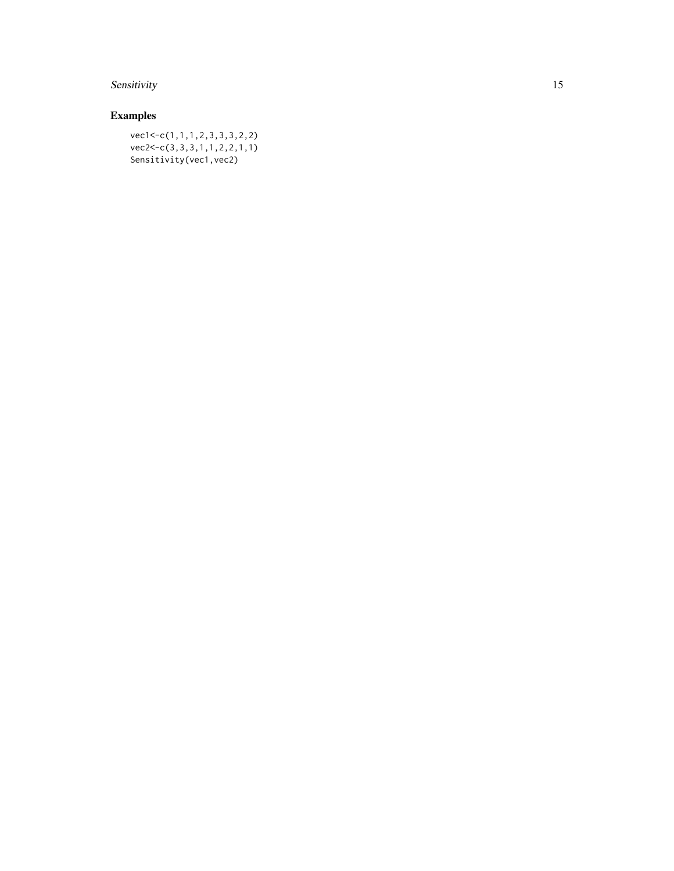## Sensitivity 15

## Examples

vec1<-c(1,1,1,2,3,3,3,2,2) vec2<-c(3,3,3,1,1,2,2,1,1) Sensitivity(vec1,vec2)